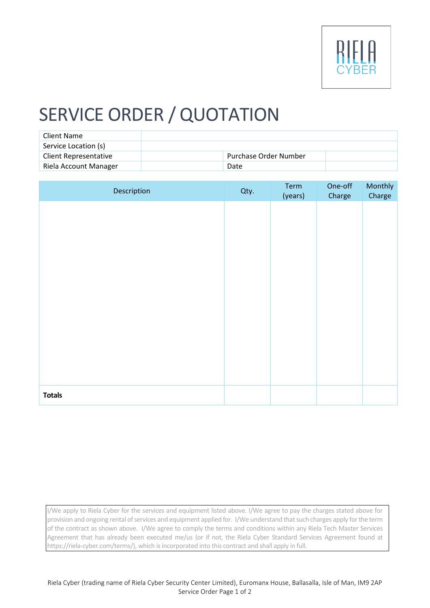

## SERVICE ORDER / QUOTATION

| Client Name                  |                       |  |
|------------------------------|-----------------------|--|
| Service Location (s)         |                       |  |
| <b>Client Representative</b> | Purchase Order Number |  |
| Riela Account Manager        | Date                  |  |

| Description   | Qty. | Term<br>(years) | One-off<br>Charge | Monthly<br>Charge |
|---------------|------|-----------------|-------------------|-------------------|
|               |      |                 |                   |                   |
|               |      |                 |                   |                   |
|               |      |                 |                   |                   |
|               |      |                 |                   |                   |
|               |      |                 |                   |                   |
|               |      |                 |                   |                   |
|               |      |                 |                   |                   |
|               |      |                 |                   |                   |
|               |      |                 |                   |                   |
| <b>Totals</b> |      |                 |                   |                   |

I/We apply to Riela Cyber for the services and equipment listed above. I/We agree to pay the charges stated above for provision and ongoing rental of services and equipment applied for. I/We understand that such charges apply for the term of the contract as shown above. I/We agree to comply the terms and conditions within any Riela Tech Master Services Agreement that has already been executed me/us (or if not, the Riela Cyber Standard Services Agreement found at https://riela-cyber.com/terms/), which is incorporated into this contract and shall apply in full.